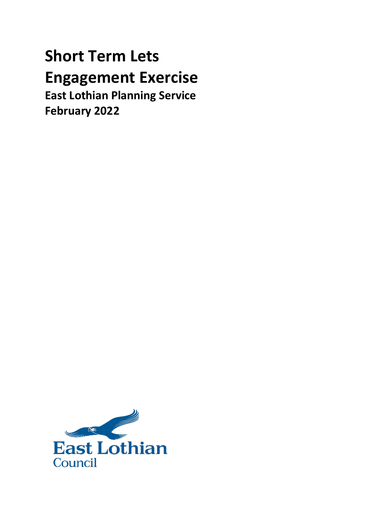# **Short Term Lets Engagement Exercise East Lothian Planning Service**

**February 2022**

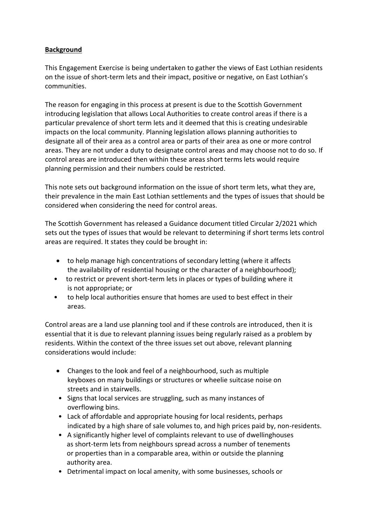# **Background**

This Engagement Exercise is being undertaken to gather the views of East Lothian residents on the issue of short-term lets and their impact, positive or negative, on East Lothian's communities.

The reason for engaging in this process at present is due to the Scottish Government introducing legislation that allows Local Authorities to create control areas if there is a particular prevalence of short term lets and it deemed that this is creating undesirable impacts on the local community. Planning legislation allows planning authorities to designate all of their area as a control area or parts of their area as one or more control areas. They are not under a duty to designate control areas and may choose not to do so. If control areas are introduced then within these areas short terms lets would require planning permission and their numbers could be restricted.

This note sets out background information on the issue of short term lets, what they are, their prevalence in the main East Lothian settlements and the types of issues that should be considered when considering the need for control areas.

The Scottish Government has released a Guidance document titled Circular 2/2021 which sets out the types of issues that would be relevant to determining if short terms lets control areas are required. It states they could be brought in:

- to help manage high concentrations of secondary letting (where it affects the availability of residential housing or the character of a neighbourhood);
- to restrict or prevent short-term lets in places or types of building where it is not appropriate; or
- to help local authorities ensure that homes are used to best effect in their areas.

Control areas are a land use planning tool and if these controls are introduced, then it is essential that it is due to relevant planning issues being regularly raised as a problem by residents. Within the context of the three issues set out above, relevant planning considerations would include:

- Changes to the look and feel of a neighbourhood, such as multiple keyboxes on many buildings or structures or wheelie suitcase noise on streets and in stairwells.
- Signs that local services are struggling, such as many instances of overflowing bins.
- Lack of affordable and appropriate housing for local residents, perhaps indicated by a high share of sale volumes to, and high prices paid by, non-residents.
- A significantly higher level of complaints relevant to use of dwellinghouses as short-term lets from neighbours spread across a number of tenements or properties than in a comparable area, within or outside the planning authority area.
- Detrimental impact on local amenity, with some businesses, schools or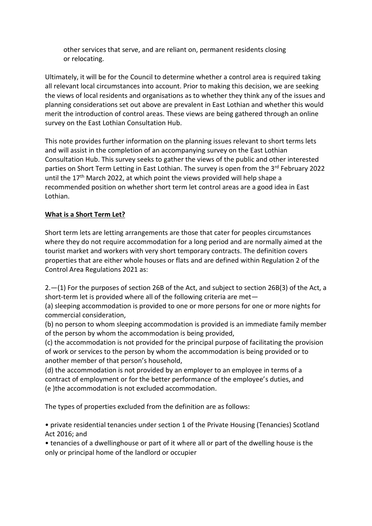other services that serve, and are reliant on, permanent residents closing or relocating.

Ultimately, it will be for the Council to determine whether a control area is required taking all relevant local circumstances into account. Prior to making this decision, we are seeking the views of local residents and organisations as to whether they think any of the issues and planning considerations set out above are prevalent in East Lothian and whether this would merit the introduction of control areas. These views are being gathered through an online survey on the East Lothian Consultation Hub.

This note provides further information on the planning issues relevant to short terms lets and will assist in the completion of an accompanying survey on the East Lothian Consultation Hub. This survey seeks to gather the views of the public and other interested parties on Short Term Letting in East Lothian. The survey is open from the 3<sup>rd</sup> February 2022 until the 17<sup>th</sup> March 2022, at which point the views provided will help shape a recommended position on whether short term let control areas are a good idea in East Lothian.

## **What is a Short Term Let?**

Short term lets are letting arrangements are those that cater for peoples circumstances where they do not require accommodation for a long period and are normally aimed at the tourist market and workers with very short temporary contracts. The definition covers properties that are either whole houses or flats and are defined within Regulation 2 of the Control Area Regulations 2021 as:

2.—(1) For the purposes of section 26B of the Act, and subject to section 26B(3) of the Act, a short-term let is provided where all of the following criteria are met—

(a) sleeping accommodation is provided to one or more persons for one or more nights for commercial consideration,

(b) no person to whom sleeping accommodation is provided is an immediate family member of the person by whom the accommodation is being provided,

(c) the accommodation is not provided for the principal purpose of facilitating the provision of work or services to the person by whom the accommodation is being provided or to another member of that person's household,

(d) the accommodation is not provided by an employer to an employee in terms of a contract of employment or for the better performance of the employee's duties, and (e )the accommodation is not excluded accommodation.

The types of properties excluded from the definition are as follows:

• private residential tenancies under section 1 of the Private Housing (Tenancies) Scotland Act 2016; and

• tenancies of a dwellinghouse or part of it where all or part of the dwelling house is the only or principal home of the landlord or occupier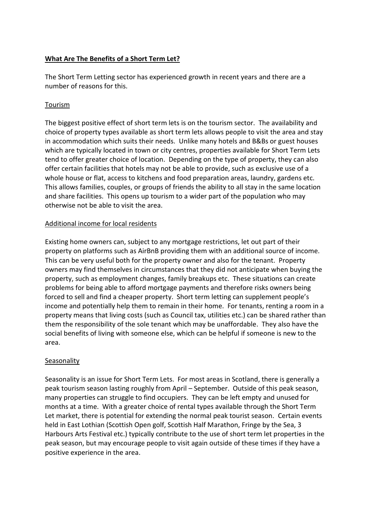## **What Are The Benefits of a Short Term Let?**

The Short Term Letting sector has experienced growth in recent years and there are a number of reasons for this.

### Tourism

The biggest positive effect of short term lets is on the tourism sector. The availability and choice of property types available as short term lets allows people to visit the area and stay in accommodation which suits their needs. Unlike many hotels and B&Bs or guest houses which are typically located in town or city centres, properties available for Short Term Lets tend to offer greater choice of location. Depending on the type of property, they can also offer certain facilities that hotels may not be able to provide, such as exclusive use of a whole house or flat, access to kitchens and food preparation areas, laundry, gardens etc. This allows families, couples, or groups of friends the ability to all stay in the same location and share facilities. This opens up tourism to a wider part of the population who may otherwise not be able to visit the area.

### Additional income for local residents

Existing home owners can, subject to any mortgage restrictions, let out part of their property on platforms such as AirBnB providing them with an additional source of income. This can be very useful both for the property owner and also for the tenant. Property owners may find themselves in circumstances that they did not anticipate when buying the property, such as employment changes, family breakups etc. These situations can create problems for being able to afford mortgage payments and therefore risks owners being forced to sell and find a cheaper property. Short term letting can supplement people's income and potentially help them to remain in their home. For tenants, renting a room in a property means that living costs (such as Council tax, utilities etc.) can be shared rather than them the responsibility of the sole tenant which may be unaffordable. They also have the social benefits of living with someone else, which can be helpful if someone is new to the area.

#### **Seasonality**

Seasonality is an issue for Short Term Lets. For most areas in Scotland, there is generally a peak tourism season lasting roughly from April – September. Outside of this peak season, many properties can struggle to find occupiers. They can be left empty and unused for months at a time. With a greater choice of rental types available through the Short Term Let market, there is potential for extending the normal peak tourist season. Certain events held in East Lothian (Scottish Open golf, Scottish Half Marathon, Fringe by the Sea, 3 Harbours Arts Festival etc.) typically contribute to the use of short term let properties in the peak season, but may encourage people to visit again outside of these times if they have a positive experience in the area.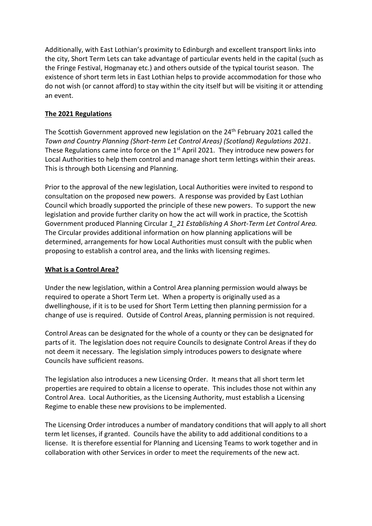Additionally, with East Lothian's proximity to Edinburgh and excellent transport links into the city, Short Term Lets can take advantage of particular events held in the capital (such as the Fringe Festival, Hogmanay etc.) and others outside of the typical tourist season. The existence of short term lets in East Lothian helps to provide accommodation for those who do not wish (or cannot afford) to stay within the city itself but will be visiting it or attending an event.

## **The 2021 Regulations**

The Scottish Government approved new legislation on the 24<sup>th</sup> February 2021 called the *Town and Country Planning (Short-term Let Control Areas) (Scotland) Regulations 2021*. These Regulations came into force on the 1<sup>st</sup> April 2021. They introduce new powers for Local Authorities to help them control and manage short term lettings within their areas. This is through both Licensing and Planning.

Prior to the approval of the new legislation, Local Authorities were invited to respond to consultation on the proposed new powers. A response was provided by East Lothian Council which broadly supported the principle of these new powers. To support the new legislation and provide further clarity on how the act will work in practice, the Scottish Government produced Planning Circular *1\_21 Establishing A Short-Term Let Control Area.* The Circular provides additional information on how planning applications will be determined, arrangements for how Local Authorities must consult with the public when proposing to establish a control area, and the links with licensing regimes.

#### **What is a Control Area?**

Under the new legislation, within a Control Area planning permission would always be required to operate a Short Term Let. When a property is originally used as a dwellinghouse, if it is to be used for Short Term Letting then planning permission for a change of use is required. Outside of Control Areas, planning permission is not required.

Control Areas can be designated for the whole of a county or they can be designated for parts of it. The legislation does not require Councils to designate Control Areas if they do not deem it necessary. The legislation simply introduces powers to designate where Councils have sufficient reasons.

The legislation also introduces a new Licensing Order. It means that all short term let properties are required to obtain a license to operate. This includes those not within any Control Area. Local Authorities, as the Licensing Authority, must establish a Licensing Regime to enable these new provisions to be implemented.

The Licensing Order introduces a number of mandatory conditions that will apply to all short term let licenses, if granted. Councils have the ability to add additional conditions to a license. It is therefore essential for Planning and Licensing Teams to work together and in collaboration with other Services in order to meet the requirements of the new act.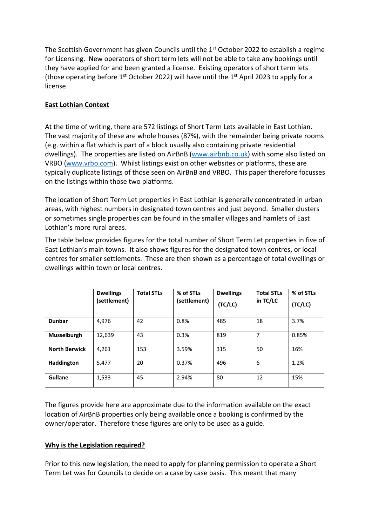The Scottish Government has given Councils until the 1<sup>st</sup> October 2022 to establish a regime for Licensing. New operators of short term lets will not be able to take any bookings until they have applied for and been granted a license. Existing operators of short term lets (those operating before  $1<sup>st</sup>$  October 2022) will have until the  $1<sup>st</sup>$  April 2023 to apply for a license.

# **East Lothian Context**

At the time of writing, there are 572 listings of Short Term Lets available in East Lothian. The vast majority of these are whole houses (87%), with the remainder being private rooms (e.g. within a flat which is part of a block usually also containing private residential dwellings). The properties are listed on AirBnB [\(www.airbnb.co.uk\)](http://www.airbnb.co.uk/) with some also listed on VRBO [\(www.vrbo.com\)](http://www.vrbo.com/). Whilst listings exist on other websites or platforms, these are typically duplicate listings of those seen on AirBnB and VRBO. This paper therefore focusses on the listings within those two platforms.

The location of Short Term Let properties in East Lothian is generally concentrated in urban areas, with highest numbers in designated town centres and just beyond. Smaller clusters or sometimes single properties can be found in the smaller villages and hamlets of East Lothian's more rural areas.

The table below provides figures for the total number of Short Term Let properties in five of East Lothian's main towns. It also shows figures for the designated town centres, or local centres for smaller settlements. These are then shown as a percentage of total dwellings or dwellings within town or local centres.

|                      | <b>Dwellings</b><br>(settlement) | <b>Total STLs</b> | % of STLs<br>(settlement) | <b>Dwellings</b><br>(TC/LC) | <b>Total STLs</b><br>in $TC/LC$ | % of STLs<br>(TC/LC) |
|----------------------|----------------------------------|-------------------|---------------------------|-----------------------------|---------------------------------|----------------------|
| <b>Dunbar</b>        | 4,976                            | 42                | 0.8%                      | 485                         | 18                              | 3.7%                 |
| Musselburgh          | 12,639                           | 43                | 0.3%                      | 819                         | 7                               | 0.85%                |
| <b>North Berwick</b> | 4.261                            | 153               | 3.59%                     | 315                         | 50                              | 16%                  |
| Haddington           | 5,477                            | 20                | 0.37%                     | 496                         | 6                               | 1.2%                 |
| <b>Gullane</b>       | 1,533                            | 45                | 2.94%                     | 80                          | 12                              | 15%                  |

The figures provide here are approximate due to the information available on the exact location of AirBnB properties only being available once a booking is confirmed by the owner/operator. Therefore these figures are only to be used as a guide.

## **Why is the Legislation required?**

Prior to this new legislation, the need to apply for planning permission to operate a Short Term Let was for Councils to decide on a case by case basis. This meant that many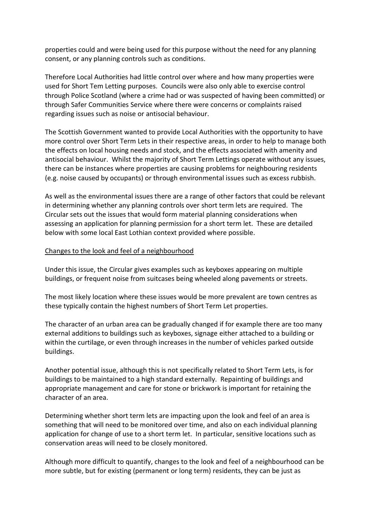properties could and were being used for this purpose without the need for any planning consent, or any planning controls such as conditions.

Therefore Local Authorities had little control over where and how many properties were used for Short Tem Letting purposes. Councils were also only able to exercise control through Police Scotland (where a crime had or was suspected of having been committed) or through Safer Communities Service where there were concerns or complaints raised regarding issues such as noise or antisocial behaviour.

The Scottish Government wanted to provide Local Authorities with the opportunity to have more control over Short Term Lets in their respective areas, in order to help to manage both the effects on local housing needs and stock, and the effects associated with amenity and antisocial behaviour. Whilst the majority of Short Term Lettings operate without any issues, there can be instances where properties are causing problems for neighbouring residents (e.g. noise caused by occupants) or through environmental issues such as excess rubbish.

As well as the environmental issues there are a range of other factors that could be relevant in determining whether any planning controls over short term lets are required. The Circular sets out the issues that would form material planning considerations when assessing an application for planning permission for a short term let. These are detailed below with some local East Lothian context provided where possible.

#### Changes to the look and feel of a neighbourhood

Under this issue, the Circular gives examples such as keyboxes appearing on multiple buildings, or frequent noise from suitcases being wheeled along pavements or streets.

The most likely location where these issues would be more prevalent are town centres as these typically contain the highest numbers of Short Term Let properties.

The character of an urban area can be gradually changed if for example there are too many external additions to buildings such as keyboxes, signage either attached to a building or within the curtilage, or even through increases in the number of vehicles parked outside buildings.

Another potential issue, although this is not specifically related to Short Term Lets, is for buildings to be maintained to a high standard externally. Repainting of buildings and appropriate management and care for stone or brickwork is important for retaining the character of an area.

Determining whether short term lets are impacting upon the look and feel of an area is something that will need to be monitored over time, and also on each individual planning application for change of use to a short term let. In particular, sensitive locations such as conservation areas will need to be closely monitored.

Although more difficult to quantify, changes to the look and feel of a neighbourhood can be more subtle, but for existing (permanent or long term) residents, they can be just as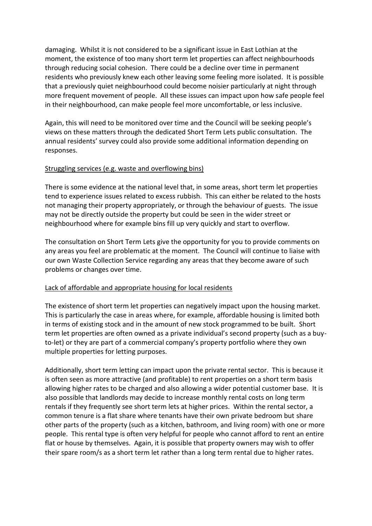damaging. Whilst it is not considered to be a significant issue in East Lothian at the moment, the existence of too many short term let properties can affect neighbourhoods through reducing social cohesion. There could be a decline over time in permanent residents who previously knew each other leaving some feeling more isolated. It is possible that a previously quiet neighbourhood could become noisier particularly at night through more frequent movement of people. All these issues can impact upon how safe people feel in their neighbourhood, can make people feel more uncomfortable, or less inclusive.

Again, this will need to be monitored over time and the Council will be seeking people's views on these matters through the dedicated Short Term Lets public consultation. The annual residents' survey could also provide some additional information depending on responses.

### Struggling services (e.g. waste and overflowing bins)

There is some evidence at the national level that, in some areas, short term let properties tend to experience issues related to excess rubbish. This can either be related to the hosts not managing their property appropriately, or through the behaviour of guests. The issue may not be directly outside the property but could be seen in the wider street or neighbourhood where for example bins fill up very quickly and start to overflow.

The consultation on Short Term Lets give the opportunity for you to provide comments on any areas you feel are problematic at the moment. The Council will continue to liaise with our own Waste Collection Service regarding any areas that they become aware of such problems or changes over time.

#### Lack of affordable and appropriate housing for local residents

The existence of short term let properties can negatively impact upon the housing market. This is particularly the case in areas where, for example, affordable housing is limited both in terms of existing stock and in the amount of new stock programmed to be built. Short term let properties are often owned as a private individual's second property (such as a buyto-let) or they are part of a commercial company's property portfolio where they own multiple properties for letting purposes.

Additionally, short term letting can impact upon the private rental sector. This is because it is often seen as more attractive (and profitable) to rent properties on a short term basis allowing higher rates to be charged and also allowing a wider potential customer base. It is also possible that landlords may decide to increase monthly rental costs on long term rentals if they frequently see short term lets at higher prices. Within the rental sector, a common tenure is a flat share where tenants have their own private bedroom but share other parts of the property (such as a kitchen, bathroom, and living room) with one or more people. This rental type is often very helpful for people who cannot afford to rent an entire flat or house by themselves. Again, it is possible that property owners may wish to offer their spare room/s as a short term let rather than a long term rental due to higher rates.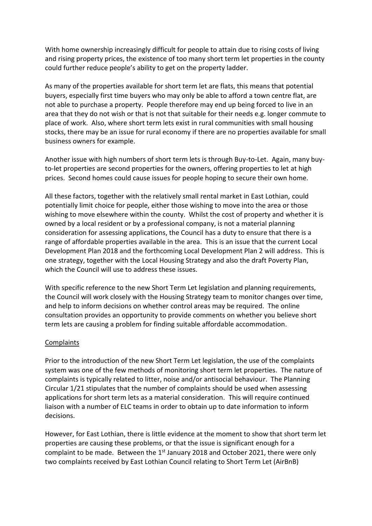With home ownership increasingly difficult for people to attain due to rising costs of living and rising property prices, the existence of too many short term let properties in the county could further reduce people's ability to get on the property ladder.

As many of the properties available for short term let are flats, this means that potential buyers, especially first time buyers who may only be able to afford a town centre flat, are not able to purchase a property. People therefore may end up being forced to live in an area that they do not wish or that is not that suitable for their needs e.g. longer commute to place of work. Also, where short term lets exist in rural communities with small housing stocks, there may be an issue for rural economy if there are no properties available for small business owners for example.

Another issue with high numbers of short term lets is through Buy-to-Let. Again, many buyto-let properties are second properties for the owners, offering properties to let at high prices. Second homes could cause issues for people hoping to secure their own home.

All these factors, together with the relatively small rental market in East Lothian, could potentially limit choice for people, either those wishing to move into the area or those wishing to move elsewhere within the county. Whilst the cost of property and whether it is owned by a local resident or by a professional company, is not a material planning consideration for assessing applications, the Council has a duty to ensure that there is a range of affordable properties available in the area. This is an issue that the current Local Development Plan 2018 and the forthcoming Local Development Plan 2 will address. This is one strategy, together with the Local Housing Strategy and also the draft Poverty Plan, which the Council will use to address these issues.

With specific reference to the new Short Term Let legislation and planning requirements, the Council will work closely with the Housing Strategy team to monitor changes over time, and help to inform decisions on whether control areas may be required. The online consultation provides an opportunity to provide comments on whether you believe short term lets are causing a problem for finding suitable affordable accommodation.

#### Complaints

Prior to the introduction of the new Short Term Let legislation, the use of the complaints system was one of the few methods of monitoring short term let properties. The nature of complaints is typically related to litter, noise and/or antisocial behaviour. The Planning Circular 1/21 stipulates that the number of complaints should be used when assessing applications for short term lets as a material consideration. This will require continued liaison with a number of ELC teams in order to obtain up to date information to inform decisions.

However, for East Lothian, there is little evidence at the moment to show that short term let properties are causing these problems, or that the issue is significant enough for a complaint to be made. Between the  $1<sup>st</sup>$  January 2018 and October 2021, there were only two complaints received by East Lothian Council relating to Short Term Let (AirBnB)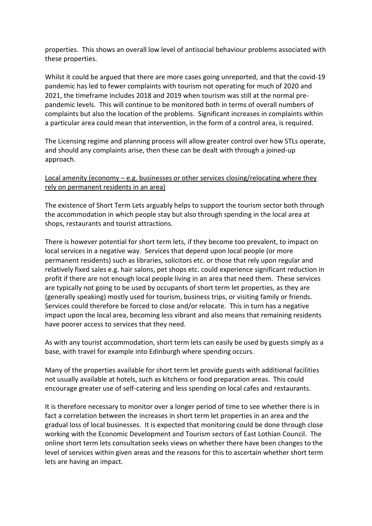properties. This shows an overall low level of antisocial behaviour problems associated with these properties.

Whilst it could be argued that there are more cases going unreported, and that the covid-19 pandemic has led to fewer complaints with tourism not operating for much of 2020 and 2021, the timeframe includes 2018 and 2019 when tourism was still at the normal prepandemic levels. This will continue to be monitored both in terms of overall numbers of complaints but also the location of the problems. Significant increases in complaints within a particular area could mean that intervention, in the form of a control area, is required.

The Licensing regime and planning process will allow greater control over how STLs operate, and should any complaints arise, then these can be dealt with through a joined-up approach.

# Local amenity (economy – e.g. businesses or other services closing/relocating where they rely on permanent residents in an area)

The existence of Short Term Lets arguably helps to support the tourism sector both through the accommodation in which people stay but also through spending in the local area at shops, restaurants and tourist attractions.

There is however potential for short term lets, if they become too prevalent, to impact on local services in a negative way. Services that depend upon local people (or more permanent residents) such as libraries, solicitors etc. or those that rely upon regular and relatively fixed sales e.g. hair salons, pet shops etc. could experience significant reduction in profit if there are not enough local people living in an area that need them. These services are typically not going to be used by occupants of short term let properties, as they are (generally speaking) mostly used for tourism, business trips, or visiting family or friends. Services could therefore be forced to close and/or relocate. This in turn has a negative impact upon the local area, becoming less vibrant and also means that remaining residents have poorer access to services that they need.

As with any tourist accommodation, short term lets can easily be used by guests simply as a base, with travel for example into Edinburgh where spending occurs.

Many of the properties available for short term let provide guests with additional facilities not usually available at hotels, such as kitchens or food preparation areas. This could encourage greater use of self-catering and less spending on local cafes and restaurants.

It is therefore necessary to monitor over a longer period of time to see whether there is in fact a correlation between the increases in short term let properties in an area and the gradual loss of local businesses. It is expected that monitoring could be done through close working with the Economic Development and Tourism sectors of East Lothian Council. The online short term lets consultation seeks views on whether there have been changes to the level of services within given areas and the reasons for this to ascertain whether short term lets are having an impact.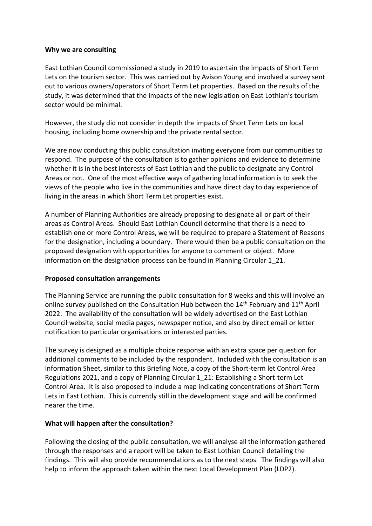#### **Why we are consulting**

East Lothian Council commissioned a study in 2019 to ascertain the impacts of Short Term Lets on the tourism sector. This was carried out by Avison Young and involved a survey sent out to various owners/operators of Short Term Let properties. Based on the results of the study, it was determined that the impacts of the new legislation on East Lothian's tourism sector would be minimal.

However, the study did not consider in depth the impacts of Short Term Lets on local housing, including home ownership and the private rental sector.

We are now conducting this public consultation inviting everyone from our communities to respond. The purpose of the consultation is to gather opinions and evidence to determine whether it is in the best interests of East Lothian and the public to designate any Control Areas or not. One of the most effective ways of gathering local information is to seek the views of the people who live in the communities and have direct day to day experience of living in the areas in which Short Term Let properties exist.

A number of Planning Authorities are already proposing to designate all or part of their areas as Control Areas. Should East Lothian Council determine that there is a need to establish one or more Control Areas, we will be required to prepare a Statement of Reasons for the designation, including a boundary. There would then be a public consultation on the proposed designation with opportunities for anyone to comment or object. More information on the designation process can be found in Planning Circular 1\_21.

#### **Proposed consultation arrangements**

The Planning Service are running the public consultation for 8 weeks and this will involve an online survey published on the Consultation Hub between the 14<sup>th</sup> February and 11<sup>th</sup> April 2022. The availability of the consultation will be widely advertised on the East Lothian Council website, social media pages, newspaper notice, and also by direct email or letter notification to particular organisations or interested parties.

The survey is designed as a multiple choice response with an extra space per question for additional comments to be included by the respondent. Included with the consultation is an Information Sheet, similar to this Briefing Note, a copy of the Short-term let Control Area Regulations 2021, and a copy of Planning Circular 1\_21: Establishing a Short-term Let Control Area. It is also proposed to include a map indicating concentrations of Short Term Lets in East Lothian. This is currently still in the development stage and will be confirmed nearer the time.

## **What will happen after the consultation?**

Following the closing of the public consultation, we will analyse all the information gathered through the responses and a report will be taken to East Lothian Council detailing the findings. This will also provide recommendations as to the next steps. The findings will also help to inform the approach taken within the next Local Development Plan (LDP2).